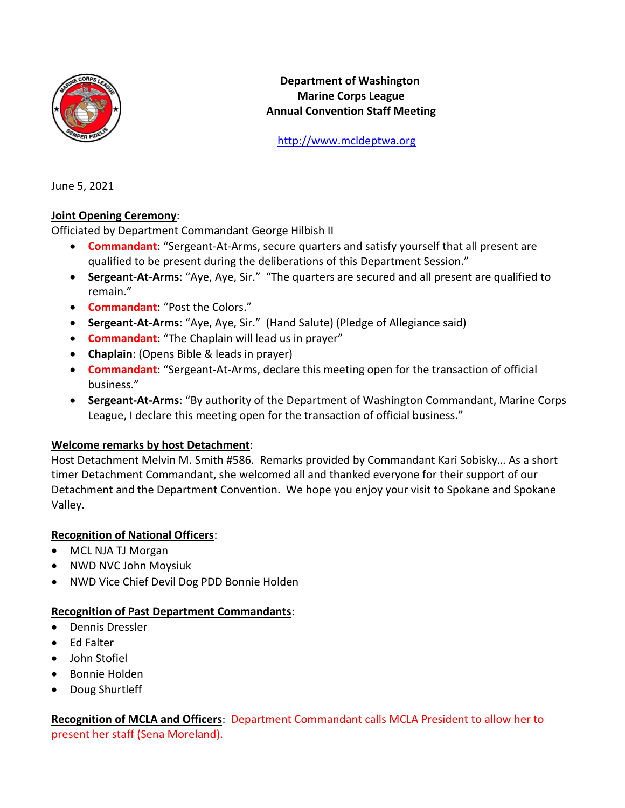

**Department of Washington Marine Corps League Annual Convention Staff Meeting**

[http://www.mcldeptwa.org](http://www.mcldeptwa.org/)

June 5, 2021

## **Joint Opening Ceremony**:

Officiated by Department Commandant George Hilbish II

- **Commandant**: "Sergeant-At-Arms, secure quarters and satisfy yourself that all present are qualified to be present during the deliberations of this Department Session."
- **Sergeant-At-Arms**: "Aye, Aye, Sir." "The quarters are secured and all present are qualified to remain."
- **Commandant**: "Post the Colors."
- **Sergeant-At-Arms**: "Aye, Aye, Sir." (Hand Salute) (Pledge of Allegiance said)
- **Commandant**: "The Chaplain will lead us in prayer"
- **Chaplain**: (Opens Bible & leads in prayer)
- **Commandant**: "Sergeant-At-Arms, declare this meeting open for the transaction of official business."
- **Sergeant-At-Arms**: "By authority of the Department of Washington Commandant, Marine Corps League, I declare this meeting open for the transaction of official business."

## **Welcome remarks by host Detachment**:

Host Detachment Melvin M. Smith #586. Remarks provided by Commandant Kari Sobisky… As a short timer Detachment Commandant, she welcomed all and thanked everyone for their support of our Detachment and the Department Convention. We hope you enjoy your visit to Spokane and Spokane Valley.

## **Recognition of National Officers**:

- MCL NJA TJ Morgan
- NWD NVC John Moysiuk
- NWD Vice Chief Devil Dog PDD Bonnie Holden

## **Recognition of Past Department Commandants**:

- Dennis Dressler
- Ed Falter
- John Stofiel
- Bonnie Holden
- Doug Shurtleff

**Recognition of MCLA and Officers**: Department Commandant calls MCLA President to allow her to present her staff (Sena Moreland).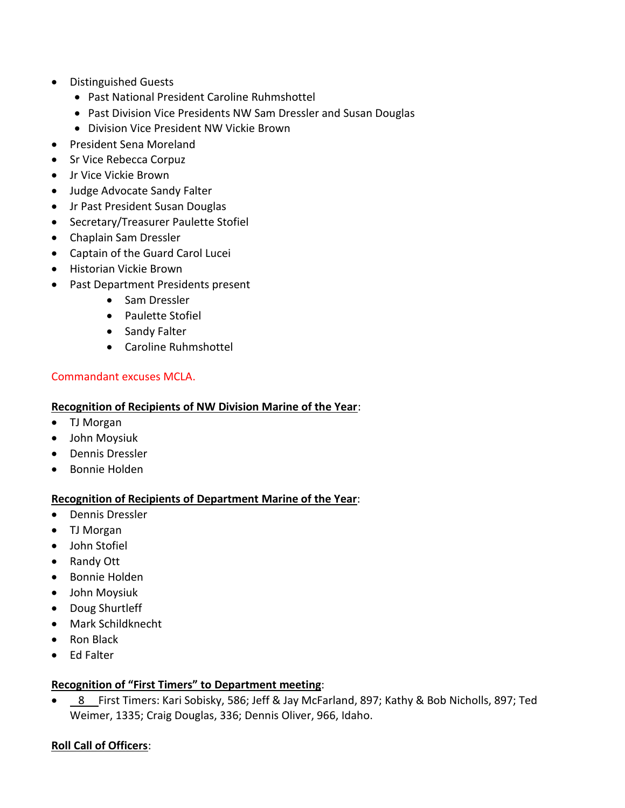- Distinguished Guests
	- Past National President Caroline Ruhmshottel
	- Past Division Vice Presidents NW Sam Dressler and Susan Douglas
	- Division Vice President NW Vickie Brown
- President Sena Moreland
- Sr Vice Rebecca Corpuz
- Jr Vice Vickie Brown
- Judge Advocate Sandy Falter
- Jr Past President Susan Douglas
- Secretary/Treasurer Paulette Stofiel
- Chaplain Sam Dressler
- Captain of the Guard Carol Lucei
- Historian Vickie Brown
- Past Department Presidents present
	- Sam Dressler
	- Paulette Stofiel
	- Sandy Falter
	- Caroline Ruhmshottel

## Commandant excuses MCLA.

## **Recognition of Recipients of NW Division Marine of the Year**:

- TJ Morgan
- John Moysiuk
- Dennis Dressler
- Bonnie Holden

## **Recognition of Recipients of Department Marine of the Year**:

- Dennis Dressler
- TJ Morgan
- John Stofiel
- Randy Ott
- Bonnie Holden
- John Moysiuk
- Doug Shurtleff
- Mark Schildknecht
- Ron Black
- Ed Falter

## **Recognition of "First Timers" to Department meeting**:

• 8 First Timers: Kari Sobisky, 586; Jeff & Jay McFarland, 897; Kathy & Bob Nicholls, 897; Ted Weimer, 1335; Craig Douglas, 336; Dennis Oliver, 966, Idaho.

## **Roll Call of Officers**: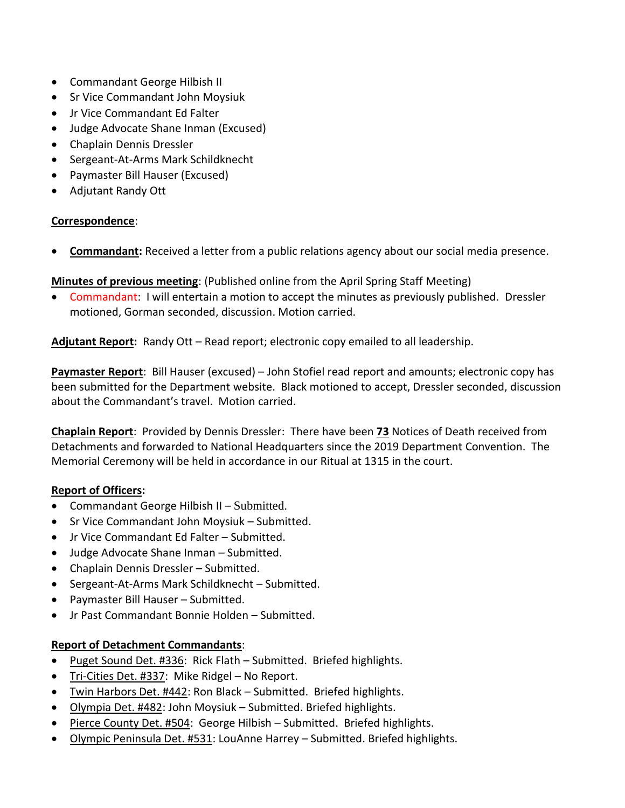- Commandant George Hilbish II
- Sr Vice Commandant John Moysiuk
- Jr Vice Commandant Ed Falter
- Judge Advocate Shane Inman (Excused)
- Chaplain Dennis Dressler
- Sergeant-At-Arms Mark Schildknecht
- Paymaster Bill Hauser (Excused)
- Adjutant Randy Ott

## **Correspondence**:

• **Commandant:** Received a letter from a public relations agency about our social media presence.

**Minutes of previous meeting**: (Published online from the April Spring Staff Meeting)

• Commandant: I will entertain a motion to accept the minutes as previously published. Dressler motioned, Gorman seconded, discussion. Motion carried.

**Adjutant Report:** Randy Ott – Read report; electronic copy emailed to all leadership.

**Paymaster Report**: Bill Hauser (excused) – John Stofiel read report and amounts; electronic copy has been submitted for the Department website. Black motioned to accept, Dressler seconded, discussion about the Commandant's travel. Motion carried.

**Chaplain Report**: Provided by Dennis Dressler: There have been **73** Notices of Death received from Detachments and forwarded to National Headquarters since the 2019 Department Convention. The Memorial Ceremony will be held in accordance in our Ritual at 1315 in the court.

## **Report of Officers:**

- Commandant George Hilbish II Submitted.
- Sr Vice Commandant John Moysiuk Submitted.
- Jr Vice Commandant Ed Falter Submitted.
- Judge Advocate Shane Inman Submitted.
- Chaplain Dennis Dressler Submitted.
- Sergeant-At-Arms Mark Schildknecht Submitted.
- Paymaster Bill Hauser Submitted.
- Jr Past Commandant Bonnie Holden Submitted.

## **Report of Detachment Commandants**:

- Puget Sound Det. #336: Rick Flath Submitted. Briefed highlights.
- Tri-Cities Det. #337: Mike Ridgel No Report.
- Twin Harbors Det. #442: Ron Black Submitted. Briefed highlights.
- Olympia Det. #482: John Moysiuk Submitted. Briefed highlights.
- Pierce County Det. #504: George Hilbish Submitted. Briefed highlights.
- Olympic Peninsula Det. #531: LouAnne Harrey Submitted. Briefed highlights.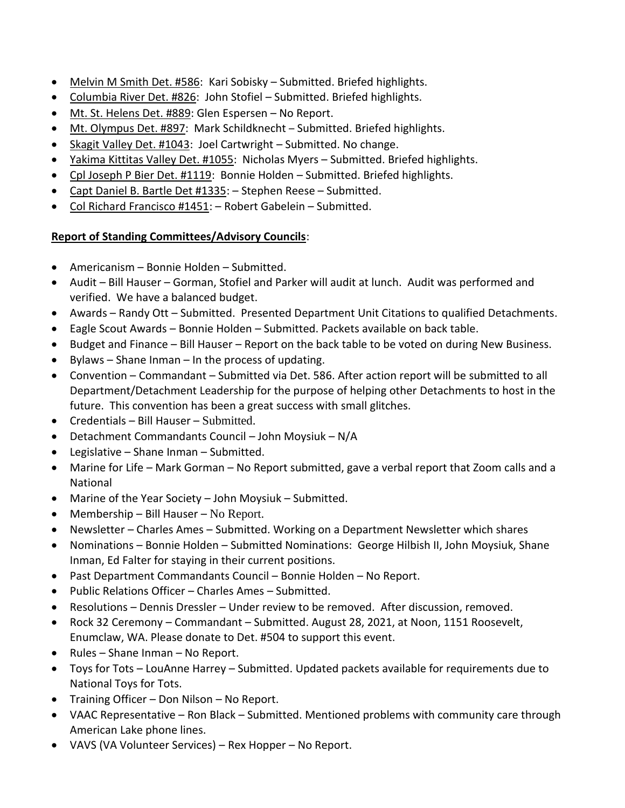- Melvin M Smith Det. #586: Kari Sobisky Submitted. Briefed highlights.
- Columbia River Det. #826: John Stofiel Submitted. Briefed highlights.
- Mt. St. Helens Det. #889: Glen Espersen No Report.
- Mt. Olympus Det. #897: Mark Schildknecht Submitted. Briefed highlights.
- Skagit Valley Det. #1043: Joel Cartwright Submitted. No change.
- Yakima Kittitas Valley Det. #1055: Nicholas Myers Submitted. Briefed highlights.
- Cpl Joseph P Bier Det. #1119: Bonnie Holden Submitted. Briefed highlights.
- Capt Daniel B. Bartle Det #1335: Stephen Reese Submitted.
- Col Richard Francisco #1451: Robert Gabelein Submitted.

# **Report of Standing Committees/Advisory Councils**:

- Americanism Bonnie Holden Submitted.
- Audit Bill Hauser Gorman, Stofiel and Parker will audit at lunch. Audit was performed and verified. We have a balanced budget.
- Awards Randy Ott Submitted. Presented Department Unit Citations to qualified Detachments.
- Eagle Scout Awards Bonnie Holden Submitted. Packets available on back table.
- Budget and Finance Bill Hauser Report on the back table to be voted on during New Business.
- Bylaws Shane Inman In the process of updating.
- Convention Commandant Submitted via Det. 586. After action report will be submitted to all Department/Detachment Leadership for the purpose of helping other Detachments to host in the future. This convention has been a great success with small glitches.
- Credentials Bill Hauser Submitted.
- Detachment Commandants Council John Moysiuk N/A
- Legislative Shane Inman Submitted.
- Marine for Life Mark Gorman No Report submitted, gave a verbal report that Zoom calls and a National
- Marine of the Year Society John Moysiuk Submitted.
- Membership Bill Hauser No Report.
- Newsletter Charles Ames Submitted. Working on a Department Newsletter which shares
- Nominations Bonnie Holden Submitted Nominations: George Hilbish II, John Moysiuk, Shane Inman, Ed Falter for staying in their current positions.
- Past Department Commandants Council Bonnie Holden No Report.
- Public Relations Officer Charles Ames Submitted.
- Resolutions Dennis Dressler Under review to be removed. After discussion, removed.
- Rock 32 Ceremony Commandant Submitted. August 28, 2021, at Noon, 1151 Roosevelt, Enumclaw, WA. Please donate to Det. #504 to support this event.
- Rules Shane Inman No Report.
- Toys for Tots LouAnne Harrey Submitted. Updated packets available for requirements due to National Toys for Tots.
- Training Officer Don Nilson No Report.
- VAAC Representative Ron Black Submitted. Mentioned problems with community care through American Lake phone lines.
- VAVS (VA Volunteer Services) Rex Hopper No Report.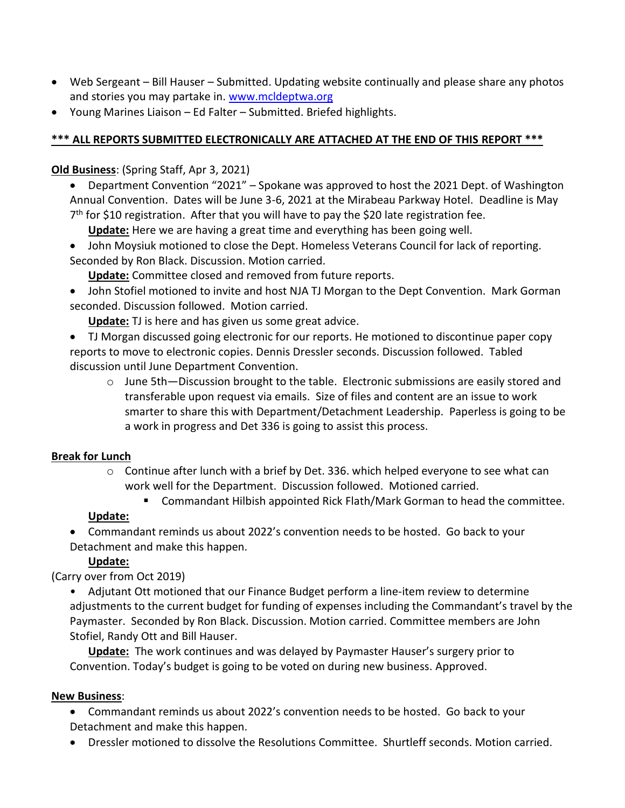- Web Sergeant Bill Hauser Submitted. Updating website continually and please share any photos and stories you may partake in. [www.mcldeptwa.org](http://www.mcldeptwa.org/)
- Young Marines Liaison Ed Falter Submitted. Briefed highlights.

# **\*\*\* ALL REPORTS SUBMITTED ELECTRONICALLY ARE ATTACHED AT THE END OF THIS REPORT \*\*\***

# **Old Business**: (Spring Staff, Apr 3, 2021)

• Department Convention "2021" – Spokane was approved to host the 2021 Dept. of Washington Annual Convention. Dates will be June 3-6, 2021 at the Mirabeau Parkway Hotel. Deadline is May 7<sup>th</sup> for \$10 registration. After that you will have to pay the \$20 late registration fee.

**Update:** Here we are having a great time and everything has been going well.

• John Moysiuk motioned to close the Dept. Homeless Veterans Council for lack of reporting. Seconded by Ron Black. Discussion. Motion carried.

**Update:** Committee closed and removed from future reports.

• John Stofiel motioned to invite and host NJA TJ Morgan to the Dept Convention. Mark Gorman seconded. Discussion followed. Motion carried.

**Update:** TJ is here and has given us some great advice.

• TJ Morgan discussed going electronic for our reports. He motioned to discontinue paper copy reports to move to electronic copies. Dennis Dressler seconds. Discussion followed. Tabled discussion until June Department Convention.

 $\circ$  June 5th—Discussion brought to the table. Electronic submissions are easily stored and transferable upon request via emails. Size of files and content are an issue to work smarter to share this with Department/Detachment Leadership. Paperless is going to be a work in progress and Det 336 is going to assist this process.

# **Break for Lunch**

- $\circ$  Continue after lunch with a brief by Det. 336. which helped everyone to see what can work well for the Department. Discussion followed. Motioned carried.
	- Commandant Hilbish appointed Rick Flath/Mark Gorman to head the committee.

# **Update:**

• Commandant reminds us about 2022's convention needs to be hosted. Go back to your Detachment and make this happen.

# **Update:**

(Carry over from Oct 2019)

• Adjutant Ott motioned that our Finance Budget perform a line-item review to determine adjustments to the current budget for funding of expenses including the Commandant's travel by the Paymaster. Seconded by Ron Black. Discussion. Motion carried. Committee members are John Stofiel, Randy Ott and Bill Hauser.

**Update:** The work continues and was delayed by Paymaster Hauser's surgery prior to Convention. Today's budget is going to be voted on during new business. Approved.

# **New Business**:

• Commandant reminds us about 2022's convention needs to be hosted. Go back to your Detachment and make this happen.

• Dressler motioned to dissolve the Resolutions Committee. Shurtleff seconds. Motion carried.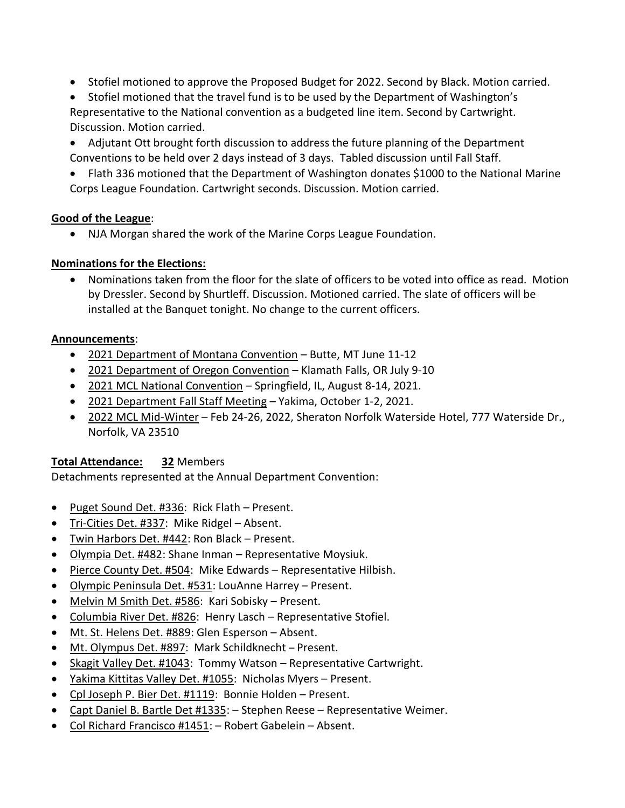- Stofiel motioned to approve the Proposed Budget for 2022. Second by Black. Motion carried.
- Stofiel motioned that the travel fund is to be used by the Department of Washington's Representative to the National convention as a budgeted line item. Second by Cartwright. Discussion. Motion carried.
- Adjutant Ott brought forth discussion to address the future planning of the Department Conventions to be held over 2 days instead of 3 days. Tabled discussion until Fall Staff.
- Flath 336 motioned that the Department of Washington donates \$1000 to the National Marine Corps League Foundation. Cartwright seconds. Discussion. Motion carried.

# **Good of the League**:

• NJA Morgan shared the work of the Marine Corps League Foundation.

# **Nominations for the Elections:**

• Nominations taken from the floor for the slate of officers to be voted into office as read. Motion by Dressler. Second by Shurtleff. Discussion. Motioned carried. The slate of officers will be installed at the Banquet tonight. No change to the current officers.

# **Announcements**:

- 2021 Department of Montana Convention Butte, MT June 11-12
- 2021 Department of Oregon Convention Klamath Falls, OR July 9-10
- 2021 MCL National Convention Springfield, IL, August 8-14, 2021.
- 2021 Department Fall Staff Meeting Yakima, October 1-2, 2021.
- 2022 MCL Mid-Winter Feb 24-26, 2022, Sheraton Norfolk Waterside Hotel, 777 Waterside Dr., Norfolk, VA 23510

# **Total Attendance: 32** Members

Detachments represented at the Annual Department Convention:

- Puget Sound Det. #336: Rick Flath Present.
- Tri-Cities Det. #337: Mike Ridgel Absent.
- Twin Harbors Det. #442: Ron Black Present.
- Olympia Det. #482: Shane Inman Representative Moysiuk.
- Pierce County Det. #504: Mike Edwards Representative Hilbish.
- Olympic Peninsula Det. #531: LouAnne Harrey Present.
- Melvin M Smith Det. #586: Kari Sobisky Present.
- Columbia River Det. #826: Henry Lasch Representative Stofiel.
- Mt. St. Helens Det. #889: Glen Esperson Absent.
- Mt. Olympus Det. #897: Mark Schildknecht Present.
- Skagit Valley Det. #1043: Tommy Watson Representative Cartwright.
- Yakima Kittitas Valley Det. #1055: Nicholas Myers Present.
- Cpl Joseph P. Bier Det. #1119: Bonnie Holden Present.
- Capt Daniel B. Bartle Det #1335: Stephen Reese Representative Weimer.
- Col Richard Francisco #1451: Robert Gabelein Absent.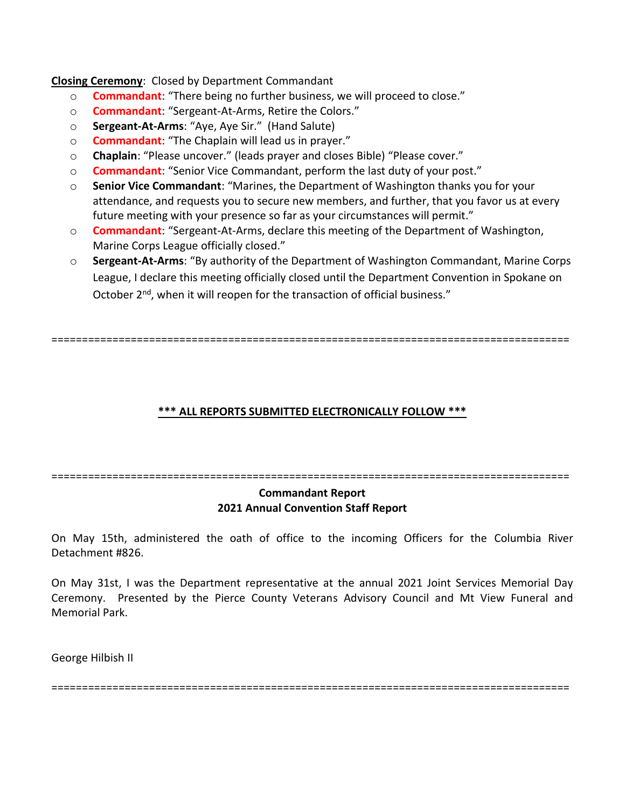**Closing Ceremony**: Closed by Department Commandant

- o **Commandant**: "There being no further business, we will proceed to close."
- o **Commandant**: "Sergeant-At-Arms, Retire the Colors."
- o **Sergeant-At-Arms**: "Aye, Aye Sir." (Hand Salute)
- o **Commandant**: "The Chaplain will lead us in prayer."
- o **Chaplain**: "Please uncover." (leads prayer and closes Bible) "Please cover."
- o **Commandant**: "Senior Vice Commandant, perform the last duty of your post."
- o **Senior Vice Commandant**: "Marines, the Department of Washington thanks you for your attendance, and requests you to secure new members, and further, that you favor us at every future meeting with your presence so far as your circumstances will permit."
- o **Commandant**: "Sergeant-At-Arms, declare this meeting of the Department of Washington, Marine Corps League officially closed."
- o **Sergeant-At-Arms**: "By authority of the Department of Washington Commandant, Marine Corps League, I declare this meeting officially closed until the Department Convention in Spokane on October 2<sup>nd</sup>, when it will reopen for the transaction of official business."

=====================================================================================

## **\*\*\* ALL REPORTS SUBMITTED ELECTRONICALLY FOLLOW \*\*\***

=====================================================================================

## **Commandant Report 2021 Annual Convention Staff Report**

On May 15th, administered the oath of office to the incoming Officers for the Columbia River Detachment #826.

On May 31st, I was the Department representative at the annual 2021 Joint Services Memorial Day Ceremony. Presented by the Pierce County Veterans Advisory Council and Mt View Funeral and Memorial Park.

George Hilbish II

=====================================================================================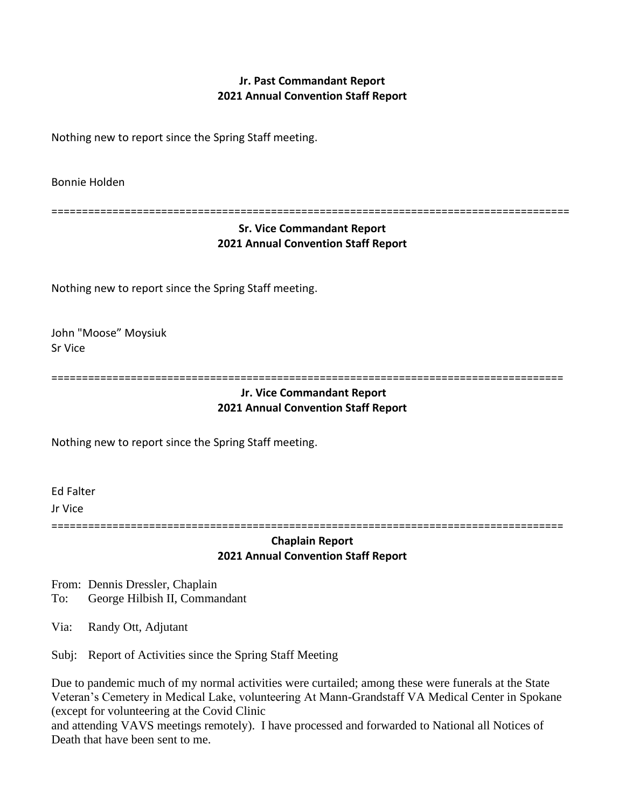# **Jr. Past Commandant Report 2021 Annual Convention Staff Report**

Nothing new to report since the Spring Staff meeting.

Bonnie Holden

=====================================================================================

## **Sr. Vice Commandant Report 2021 Annual Convention Staff Report**

Nothing new to report since the Spring Staff meeting.

John "Moose" Moysiuk Sr Vice

====================================================================================

#### **Jr. Vice Commandant Report 2021 Annual Convention Staff Report**

Nothing new to report since the Spring Staff meeting.

Ed Falter Jr Vice

====================================================================================

## **Chaplain Report 2021 Annual Convention Staff Report**

From: Dennis Dressler, Chaplain

To: George Hilbish II, Commandant

Via: Randy Ott, Adjutant

Subj: Report of Activities since the Spring Staff Meeting

Due to pandemic much of my normal activities were curtailed; among these were funerals at the State Veteran's Cemetery in Medical Lake, volunteering At Mann-Grandstaff VA Medical Center in Spokane (except for volunteering at the Covid Clinic

and attending VAVS meetings remotely). I have processed and forwarded to National all Notices of Death that have been sent to me.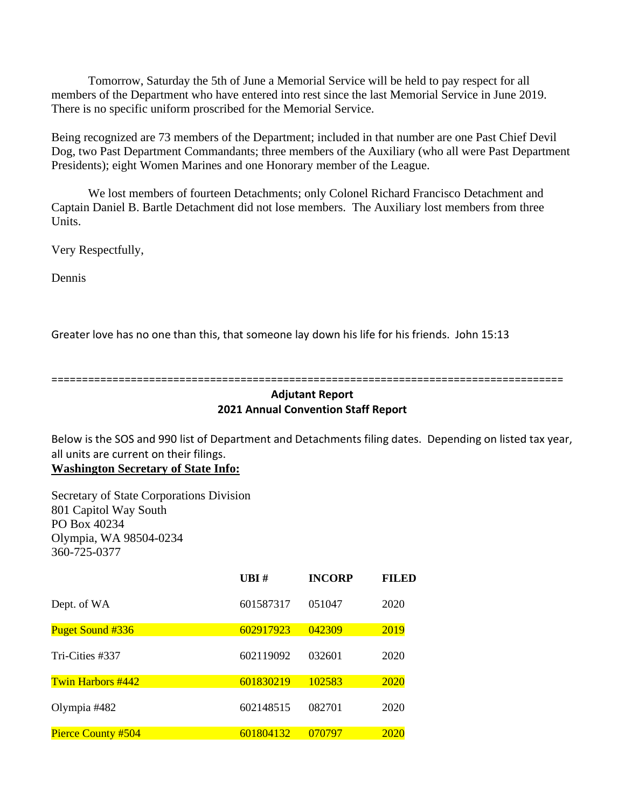Tomorrow, Saturday the 5th of June a Memorial Service will be held to pay respect for all members of the Department who have entered into rest since the last Memorial Service in June 2019. There is no specific uniform proscribed for the Memorial Service.

Being recognized are 73 members of the Department; included in that number are one Past Chief Devil Dog, two Past Department Commandants; three members of the Auxiliary (who all were Past Department Presidents); eight Women Marines and one Honorary member of the League.

We lost members of fourteen Detachments; only Colonel Richard Francisco Detachment and Captain Daniel B. Bartle Detachment did not lose members. The Auxiliary lost members from three Units.

Very Respectfully,

Dennis

Greater love has no one than this, that someone lay down his life for his friends. John 15:13

====================================================================================

### **Adjutant Report 2021 Annual Convention Staff Report**

Below is the SOS and 990 list of Department and Detachments filing dates. Depending on listed tax year, all units are current on their filings.

**Washington Secretary of State Info:**

Secretary of State Corporations Division 801 Capitol Way South PO Box 40234 Olympia, WA 98504-0234 360-725-0377

|                          | UBI#      | <b>INCORP</b> | <b>FILED</b> |
|--------------------------|-----------|---------------|--------------|
| Dept. of WA              | 601587317 | 051047        | 2020         |
| <b>Puget Sound #336</b>  | 602917923 | 042309        | 2019         |
| Tri-Cities #337          | 602119092 | 032601        | 2020         |
| <b>Twin Harbors #442</b> | 601830219 | 102583        | 2020         |
| Olympia #482             | 602148515 | 082701        | 2020         |
| Pierce County #504       | 601804132 | 070797        | 2020         |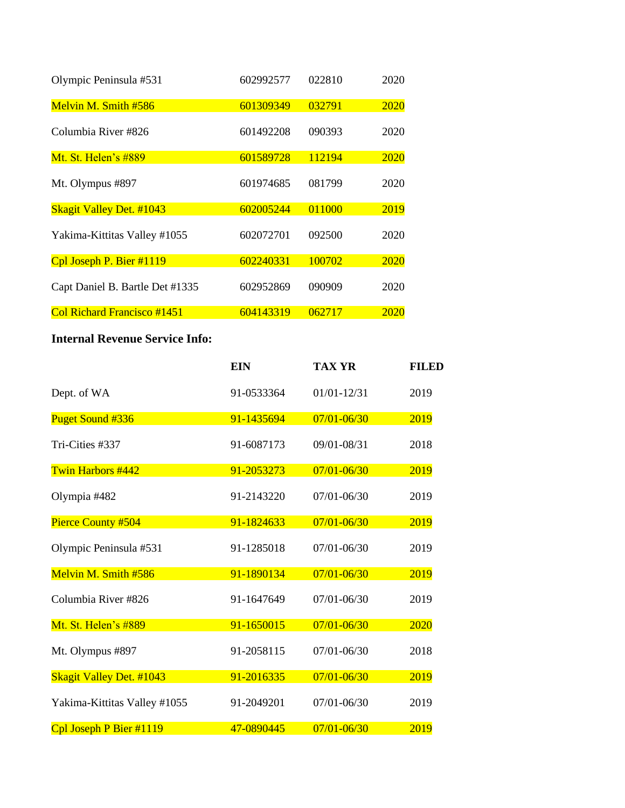| Olympic Peninsula #531          | 602992577 | 022810 | 2020 |
|---------------------------------|-----------|--------|------|
| Melvin M. Smith #586            | 601309349 | 032791 | 2020 |
| Columbia River #826             | 601492208 | 090393 | 2020 |
| Mt. St. Helen's #889            | 601589728 | 112194 | 2020 |
| Mt. Olympus #897                | 601974685 | 081799 | 2020 |
| <b>Skagit Valley Det. #1043</b> | 602005244 | 011000 | 2019 |
| Yakima-Kittitas Valley #1055    | 602072701 | 092500 | 2020 |
| Cpl Joseph P. Bier #1119        | 602240331 | 100702 | 2020 |
| Capt Daniel B. Bartle Det #1335 | 602952869 | 090909 | 2020 |
| Col Richard Francisco #1451     | 604143319 | 062717 | 2020 |

# **Internal Revenue Service Info:**

|                                 | <b>EIN</b> | <b>TAX YR</b>   | <b>FILED</b> |
|---------------------------------|------------|-----------------|--------------|
| Dept. of WA                     | 91-0533364 | $01/01 - 12/31$ | 2019         |
| Puget Sound #336                | 91-1435694 | $07/01 - 06/30$ | 2019         |
| Tri-Cities #337                 | 91-6087173 | 09/01-08/31     | 2018         |
| Twin Harbors #442               | 91-2053273 | $07/01 - 06/30$ | 2019         |
| Olympia #482                    | 91-2143220 | 07/01-06/30     | 2019         |
| Pierce County #504              | 91-1824633 | $07/01 - 06/30$ | 2019         |
| Olympic Peninsula #531          | 91-1285018 | $07/01 - 06/30$ | 2019         |
| Melvin M. Smith #586            | 91-1890134 | $07/01 - 06/30$ | 2019         |
| Columbia River #826             | 91-1647649 | 07/01-06/30     | 2019         |
| Mt. St. Helen's #889            | 91-1650015 | $07/01 - 06/30$ | 2020         |
| Mt. Olympus #897                | 91-2058115 | $07/01 - 06/30$ | 2018         |
| <b>Skagit Valley Det. #1043</b> | 91-2016335 | $07/01 - 06/30$ | 2019         |
| Yakima-Kittitas Valley #1055    | 91-2049201 | 07/01-06/30     | 2019         |
| Cpl Joseph P Bier #1119         | 47-0890445 | $07/01 - 06/30$ | 2019         |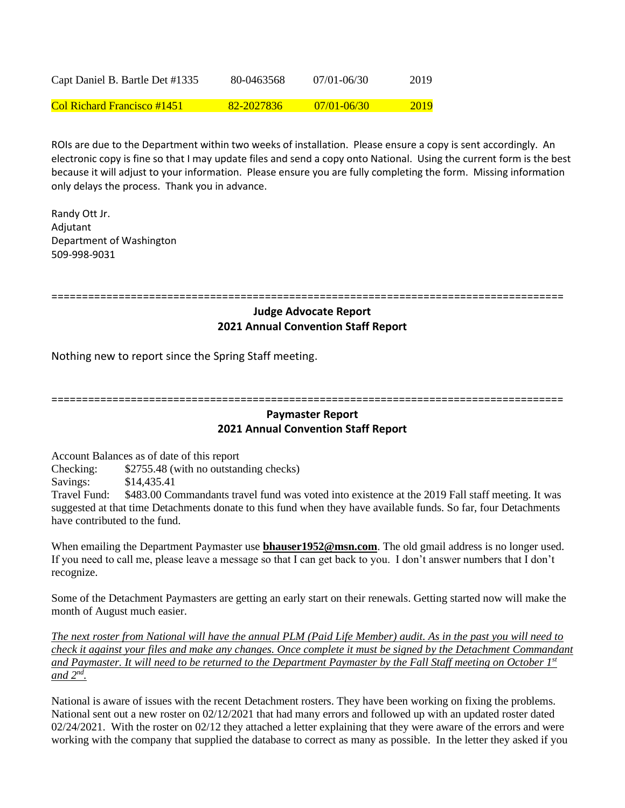| Capt Daniel B. Bartle Det #1335 | 80-0463568 | $07/01 - 06/30$ | 2019 |
|---------------------------------|------------|-----------------|------|
| Col Richard Francisco #1451     | 82-2027836 | $07/01 - 06/30$ | 2019 |

ROIs are due to the Department within two weeks of installation. Please ensure a copy is sent accordingly. An electronic copy is fine so that I may update files and send a copy onto National. Using the current form is the best because it will adjust to your information. Please ensure you are fully completing the form. Missing information only delays the process. Thank you in advance.

Randy Ott Jr. Adjutant Department of Washington 509-998-9031

====================================================================================

## **Judge Advocate Report 2021 Annual Convention Staff Report**

Nothing new to report since the Spring Staff meeting.

====================================================================================

## **Paymaster Report 2021 Annual Convention Staff Report**

Account Balances as of date of this report

Checking: \$2755.48 (with no outstanding checks)

Savings: \$14,435.41

Travel Fund: \$483.00 Commandants travel fund was voted into existence at the 2019 Fall staff meeting. It was suggested at that time Detachments donate to this fund when they have available funds. So far, four Detachments have contributed to the fund.

When emailing the Department Paymaster use **[bhauser1952@msn.com](https://d.docs.live.net/0ee91f30f59a5095/Documents/Department/DeptofWA/Adjutant/Bill/Desktop/bhauser1952@msn.com)**. The old gmail address is no longer used. If you need to call me, please leave a message so that I can get back to you. I don't answer numbers that I don't recognize.

Some of the Detachment Paymasters are getting an early start on their renewals. Getting started now will make the month of August much easier.

*The next roster from National will have the annual PLM (Paid Life Member) audit. As in the past you will need to check it against your files and make any changes. Once complete it must be signed by the Detachment Commandant and Paymaster. It will need to be returned to the Department Paymaster by the Fall Staff meeting on October 1st and 2nd .*

National is aware of issues with the recent Detachment rosters. They have been working on fixing the problems. National sent out a new roster on 02/12/2021 that had many errors and followed up with an updated roster dated  $02/24/2021$ . With the roster on  $02/12$  they attached a letter explaining that they were aware of the errors and were working with the company that supplied the database to correct as many as possible. In the letter they asked if you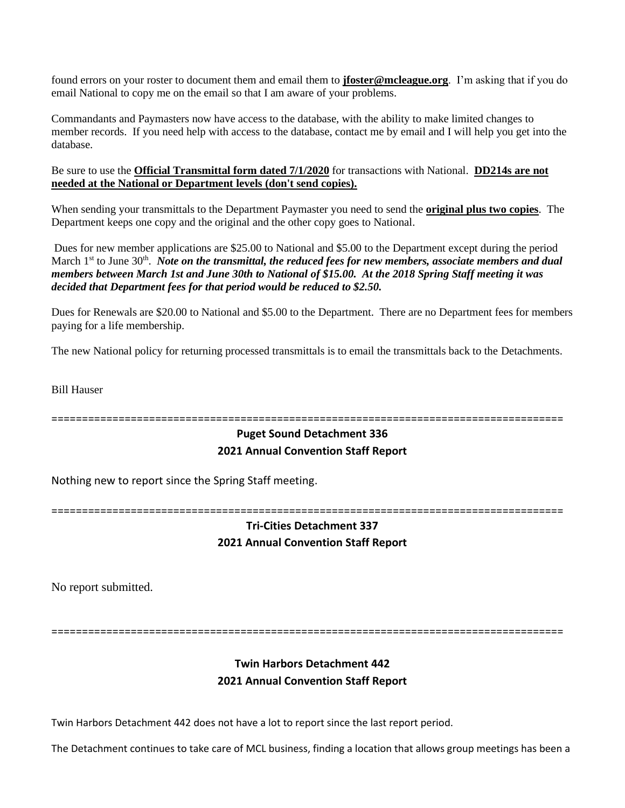found errors on your roster to document them and email them to **[jfoster@mcleague.org](mailto:jfoster@mcleague.org)**. I'm asking that if you do email National to copy me on the email so that I am aware of your problems.

Commandants and Paymasters now have access to the database, with the ability to make limited changes to member records. If you need help with access to the database, contact me by email and I will help you get into the database.

Be sure to use the **Official Transmittal form dated 7/1/2020** for transactions with National. **DD214s are not needed at the National or Department levels (don't send copies).**

When sending your transmittals to the Department Paymaster you need to send the **original plus two copies**. The Department keeps one copy and the original and the other copy goes to National.

Dues for new member applications are \$25.00 to National and \$5.00 to the Department except during the period March 1<sup>st</sup> to June 30<sup>th</sup>. *Note on the transmittal, the reduced fees for new members, associate members and dual members between March 1st and June 30th to National of \$15.00. At the 2018 Spring Staff meeting it was decided that Department fees for that period would be reduced to \$2.50.*

Dues for Renewals are \$20.00 to National and \$5.00 to the Department. There are no Department fees for members paying for a life membership.

The new National policy for returning processed transmittals is to email the transmittals back to the Detachments.

Bill Hauser

====================================================================================

# **Puget Sound Detachment 336 2021 Annual Convention Staff Report**

Nothing new to report since the Spring Staff meeting.

====================================================================================

# **Tri-Cities Detachment 337 2021 Annual Convention Staff Report**

No report submitted.

====================================================================================

# **Twin Harbors Detachment 442 2021 Annual Convention Staff Report**

Twin Harbors Detachment 442 does not have a lot to report since the last report period.

The Detachment continues to take care of MCL business, finding a location that allows group meetings has been a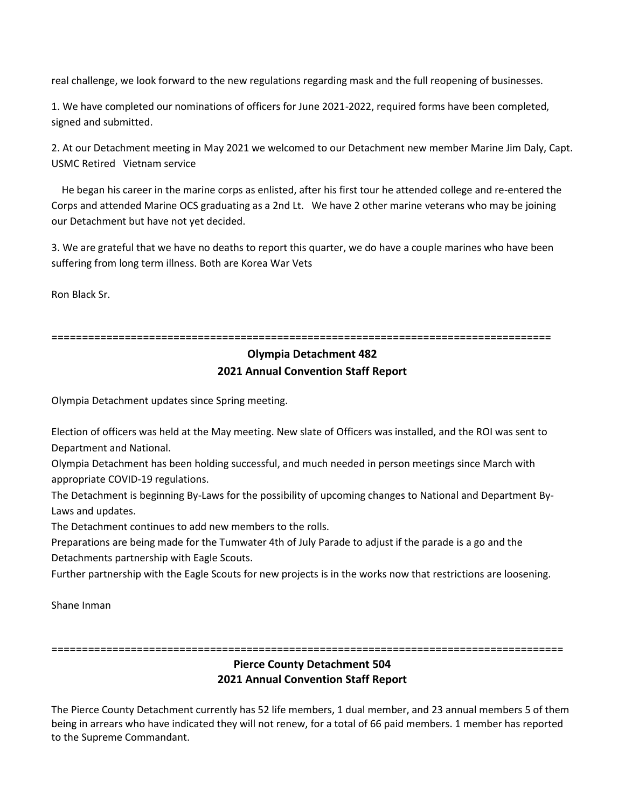real challenge, we look forward to the new regulations regarding mask and the full reopening of businesses.

1. We have completed our nominations of officers for June 2021-2022, required forms have been completed, signed and submitted.

2. At our Detachment meeting in May 2021 we welcomed to our Detachment new member Marine Jim Daly, Capt. USMC Retired Vietnam service

 He began his career in the marine corps as enlisted, after his first tour he attended college and re-entered the Corps and attended Marine OCS graduating as a 2nd Lt. We have 2 other marine veterans who may be joining our Detachment but have not yet decided.

3. We are grateful that we have no deaths to report this quarter, we do have a couple marines who have been suffering from long term illness. Both are Korea War Vets

Ron Black Sr.

==================================================================================

## **Olympia Detachment 482 2021 Annual Convention Staff Report**

Olympia Detachment updates since Spring meeting.

Election of officers was held at the May meeting. New slate of Officers was installed, and the ROI was sent to Department and National.

Olympia Detachment has been holding successful, and much needed in person meetings since March with appropriate COVID-19 regulations.

The Detachment is beginning By-Laws for the possibility of upcoming changes to National and Department By-Laws and updates.

The Detachment continues to add new members to the rolls.

Preparations are being made for the Tumwater 4th of July Parade to adjust if the parade is a go and the Detachments partnership with Eagle Scouts.

Further partnership with the Eagle Scouts for new projects is in the works now that restrictions are loosening.

Shane Inman

====================================================================================

## **Pierce County Detachment 504 2021 Annual Convention Staff Report**

The Pierce County Detachment currently has 52 life members, 1 dual member, and 23 annual members 5 of them being in arrears who have indicated they will not renew, for a total of 66 paid members. 1 member has reported to the Supreme Commandant.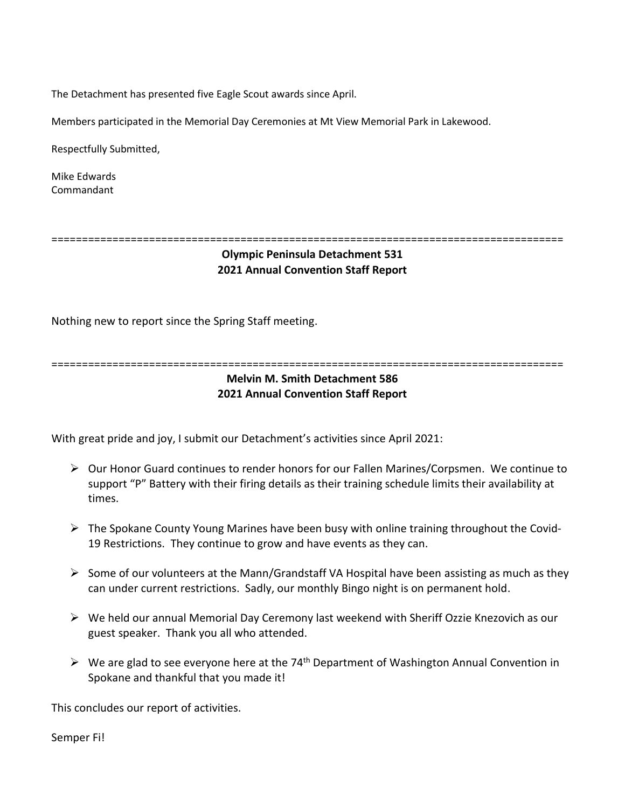The Detachment has presented five Eagle Scout awards since April.

Members participated in the Memorial Day Ceremonies at Mt View Memorial Park in Lakewood.

Respectfully Submitted,

Mike Edwards Commandant

====================================================================================

## **Olympic Peninsula Detachment 531 2021 Annual Convention Staff Report**

Nothing new to report since the Spring Staff meeting.

====================================================================================

## **Melvin M. Smith Detachment 586 2021 Annual Convention Staff Report**

With great pride and joy, I submit our Detachment's activities since April 2021:

- ➢ Our Honor Guard continues to render honors for our Fallen Marines/Corpsmen. We continue to support "P" Battery with their firing details as their training schedule limits their availability at times.
- ➢ The Spokane County Young Marines have been busy with online training throughout the Covid-19 Restrictions. They continue to grow and have events as they can.
- $\triangleright$  Some of our volunteers at the Mann/Grandstaff VA Hospital have been assisting as much as they can under current restrictions. Sadly, our monthly Bingo night is on permanent hold.
- ➢ We held our annual Memorial Day Ceremony last weekend with Sheriff Ozzie Knezovich as our guest speaker. Thank you all who attended.
- $\triangleright$  We are glad to see everyone here at the 74<sup>th</sup> Department of Washington Annual Convention in Spokane and thankful that you made it!

This concludes our report of activities.

Semper Fi!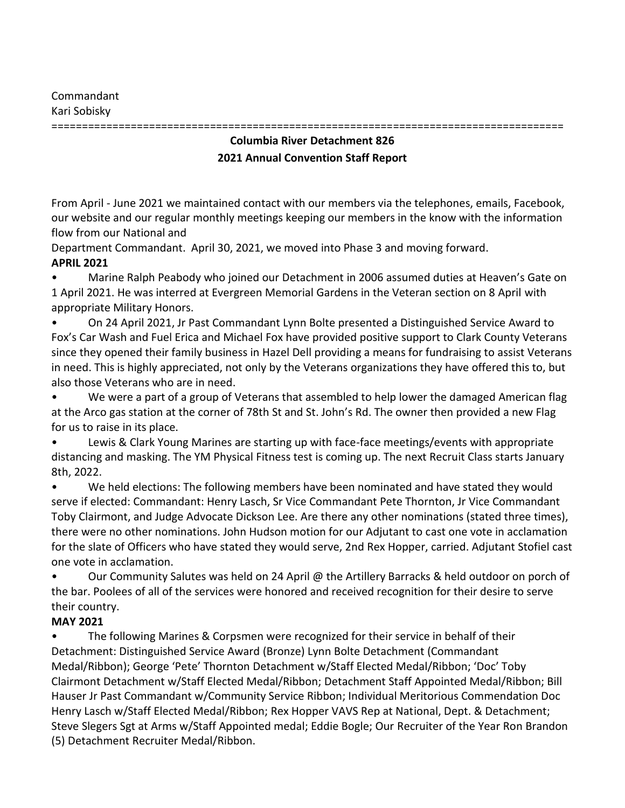Commandant Kari Sobisky

# **Columbia River Detachment 826 2021 Annual Convention Staff Report**

====================================================================================

From April - June 2021 we maintained contact with our members via the telephones, emails, Facebook, our website and our regular monthly meetings keeping our members in the know with the information flow from our National and

Department Commandant. April 30, 2021, we moved into Phase 3 and moving forward.

# **APRIL 2021**

• Marine Ralph Peabody who joined our Detachment in 2006 assumed duties at Heaven's Gate on 1 April 2021. He was interred at Evergreen Memorial Gardens in the Veteran section on 8 April with appropriate Military Honors.

• On 24 April 2021, Jr Past Commandant Lynn Bolte presented a Distinguished Service Award to Fox's Car Wash and Fuel Erica and Michael Fox have provided positive support to Clark County Veterans since they opened their family business in Hazel Dell providing a means for fundraising to assist Veterans in need. This is highly appreciated, not only by the Veterans organizations they have offered this to, but also those Veterans who are in need.

• We were a part of a group of Veterans that assembled to help lower the damaged American flag at the Arco gas station at the corner of 78th St and St. John's Rd. The owner then provided a new Flag for us to raise in its place.

• Lewis & Clark Young Marines are starting up with face-face meetings/events with appropriate distancing and masking. The YM Physical Fitness test is coming up. The next Recruit Class starts January 8th, 2022.

• We held elections: The following members have been nominated and have stated they would serve if elected: Commandant: Henry Lasch, Sr Vice Commandant Pete Thornton, Jr Vice Commandant Toby Clairmont, and Judge Advocate Dickson Lee. Are there any other nominations (stated three times), there were no other nominations. John Hudson motion for our Adjutant to cast one vote in acclamation for the slate of Officers who have stated they would serve, 2nd Rex Hopper, carried. Adjutant Stofiel cast one vote in acclamation.

• Our Community Salutes was held on 24 April @ the Artillery Barracks & held outdoor on porch of the bar. Poolees of all of the services were honored and received recognition for their desire to serve their country.

# **MAY 2021**

• The following Marines & Corpsmen were recognized for their service in behalf of their Detachment: Distinguished Service Award (Bronze) Lynn Bolte Detachment (Commandant Medal/Ribbon); George 'Pete' Thornton Detachment w/Staff Elected Medal/Ribbon; 'Doc' Toby Clairmont Detachment w/Staff Elected Medal/Ribbon; Detachment Staff Appointed Medal/Ribbon; Bill Hauser Jr Past Commandant w/Community Service Ribbon; Individual Meritorious Commendation Doc Henry Lasch w/Staff Elected Medal/Ribbon; Rex Hopper VAVS Rep at National, Dept. & Detachment; Steve Slegers Sgt at Arms w/Staff Appointed medal; Eddie Bogle; Our Recruiter of the Year Ron Brandon (5) Detachment Recruiter Medal/Ribbon.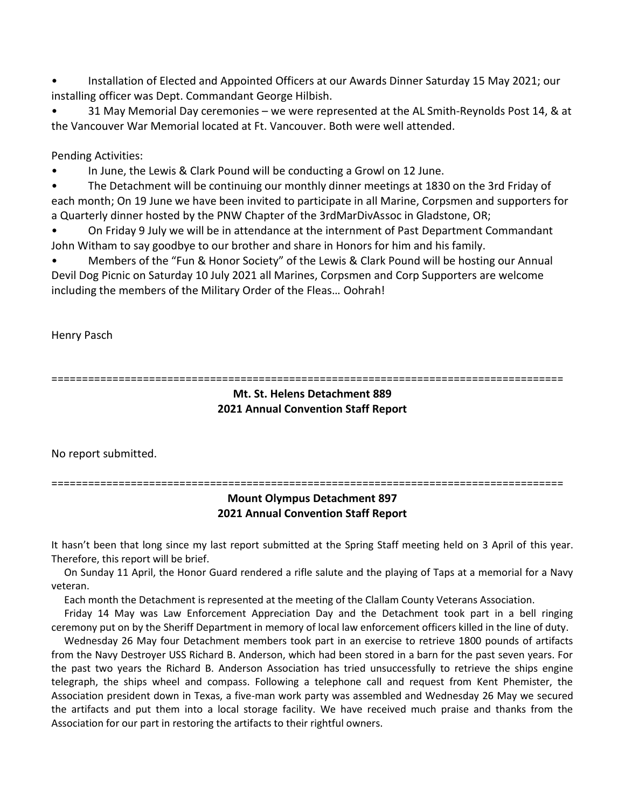• Installation of Elected and Appointed Officers at our Awards Dinner Saturday 15 May 2021; our installing officer was Dept. Commandant George Hilbish.

• 31 May Memorial Day ceremonies – we were represented at the AL Smith-Reynolds Post 14, & at the Vancouver War Memorial located at Ft. Vancouver. Both were well attended.

Pending Activities:

• In June, the Lewis & Clark Pound will be conducting a Growl on 12 June.

• The Detachment will be continuing our monthly dinner meetings at 1830 on the 3rd Friday of each month; On 19 June we have been invited to participate in all Marine, Corpsmen and supporters for a Quarterly dinner hosted by the PNW Chapter of the 3rdMarDivAssoc in Gladstone, OR;

• On Friday 9 July we will be in attendance at the internment of Past Department Commandant John Witham to say goodbye to our brother and share in Honors for him and his family.

• Members of the "Fun & Honor Society" of the Lewis & Clark Pound will be hosting our Annual Devil Dog Picnic on Saturday 10 July 2021 all Marines, Corpsmen and Corp Supporters are welcome including the members of the Military Order of the Fleas… Oohrah!

Henry Pasch

====================================================================================

#### **Mt. St. Helens Detachment 889 2021 Annual Convention Staff Report**

No report submitted.

====================================================================================

## **Mount Olympus Detachment 897 2021 Annual Convention Staff Report**

It hasn't been that long since my last report submitted at the Spring Staff meeting held on 3 April of this year. Therefore, this report will be brief.

 On Sunday 11 April, the Honor Guard rendered a rifle salute and the playing of Taps at a memorial for a Navy veteran.

Each month the Detachment is represented at the meeting of the Clallam County Veterans Association.

 Friday 14 May was Law Enforcement Appreciation Day and the Detachment took part in a bell ringing ceremony put on by the Sheriff Department in memory of local law enforcement officers killed in the line of duty.

 Wednesday 26 May four Detachment members took part in an exercise to retrieve 1800 pounds of artifacts from the Navy Destroyer USS Richard B. Anderson, which had been stored in a barn for the past seven years. For the past two years the Richard B. Anderson Association has tried unsuccessfully to retrieve the ships engine telegraph, the ships wheel and compass. Following a telephone call and request from Kent Phemister, the Association president down in Texas, a five-man work party was assembled and Wednesday 26 May we secured the artifacts and put them into a local storage facility. We have received much praise and thanks from the Association for our part in restoring the artifacts to their rightful owners.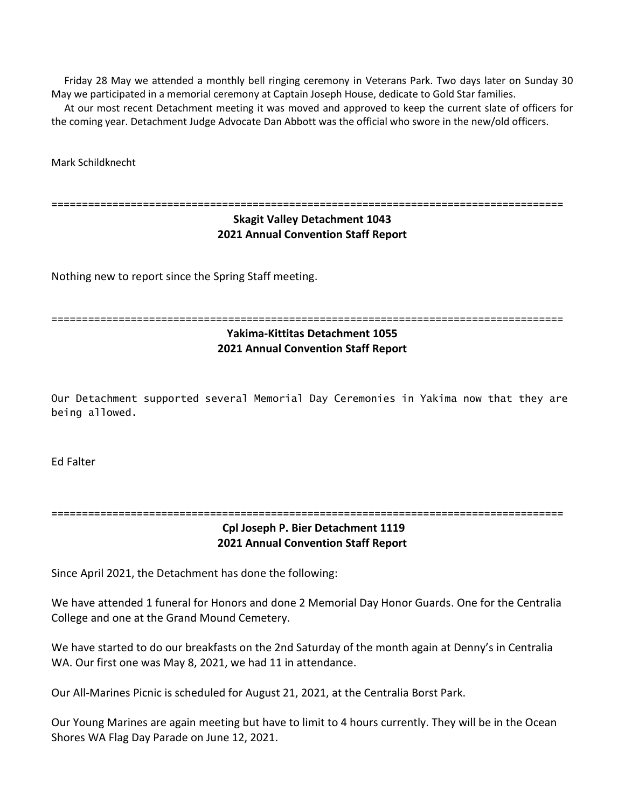Friday 28 May we attended a monthly bell ringing ceremony in Veterans Park. Two days later on Sunday 30 May we participated in a memorial ceremony at Captain Joseph House, dedicate to Gold Star families.

 At our most recent Detachment meeting it was moved and approved to keep the current slate of officers for the coming year. Detachment Judge Advocate Dan Abbott was the official who swore in the new/old officers.

Mark Schildknecht

====================================================================================

## **Skagit Valley Detachment 1043 2021 Annual Convention Staff Report**

Nothing new to report since the Spring Staff meeting.

```
====================================================================================
```
# **Yakima-Kittitas Detachment 1055 2021 Annual Convention Staff Report**

Our Detachment supported several Memorial Day Ceremonies in Yakima now that they are being allowed.

Ed Falter

====================================================================================

## **Cpl Joseph P. Bier Detachment 1119 2021 Annual Convention Staff Report**

Since April 2021, the Detachment has done the following:

We have attended 1 funeral for Honors and done 2 Memorial Day Honor Guards. One for the Centralia College and one at the Grand Mound Cemetery.

We have started to do our breakfasts on the 2nd Saturday of the month again at Denny's in Centralia WA. Our first one was May 8, 2021, we had 11 in attendance.

Our All-Marines Picnic is scheduled for August 21, 2021, at the Centralia Borst Park.

Our Young Marines are again meeting but have to limit to 4 hours currently. They will be in the Ocean Shores WA Flag Day Parade on June 12, 2021.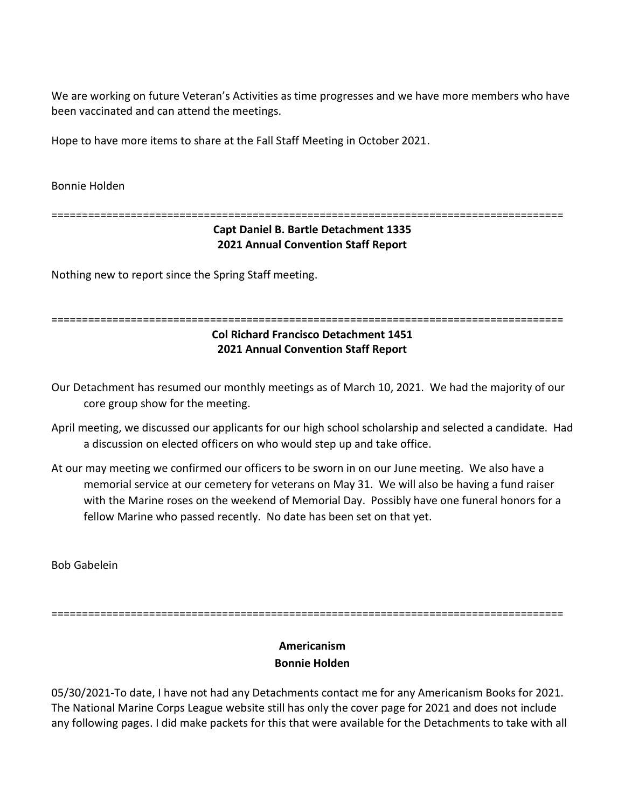We are working on future Veteran's Activities as time progresses and we have more members who have been vaccinated and can attend the meetings.

Hope to have more items to share at the Fall Staff Meeting in October 2021.

Bonnie Holden

====================================================================================

## **Capt Daniel B. Bartle Detachment 1335 2021 Annual Convention Staff Report**

Nothing new to report since the Spring Staff meeting.

#### ====================================================================================

## **Col Richard Francisco Detachment 1451 2021 Annual Convention Staff Report**

Our Detachment has resumed our monthly meetings as of March 10, 2021. We had the majority of our core group show for the meeting.

- April meeting, we discussed our applicants for our high school scholarship and selected a candidate. Had a discussion on elected officers on who would step up and take office.
- At our may meeting we confirmed our officers to be sworn in on our June meeting. We also have a memorial service at our cemetery for veterans on May 31. We will also be having a fund raiser with the Marine roses on the weekend of Memorial Day. Possibly have one funeral honors for a fellow Marine who passed recently. No date has been set on that yet.

Bob Gabelein

====================================================================================

# **Americanism Bonnie Holden**

05/30/2021-To date, I have not had any Detachments contact me for any Americanism Books for 2021. The National Marine Corps League website still has only the cover page for 2021 and does not include any following pages. I did make packets for this that were available for the Detachments to take with all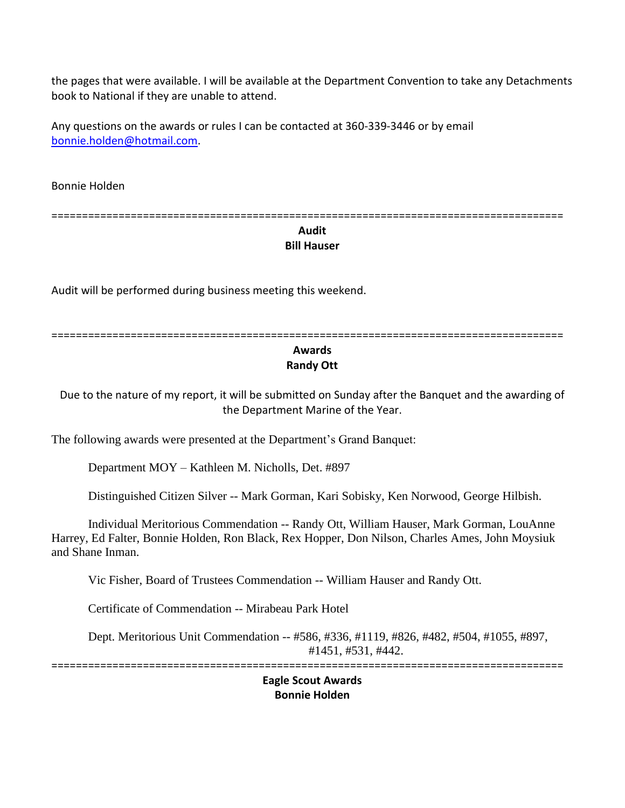the pages that were available. I will be available at the Department Convention to take any Detachments book to National if they are unable to attend.

Any questions on the awards or rules I can be contacted at 360-339-3446 or by email [bonnie.holden@hotmail.com.](mailto:bonnie.holden@hotmail.com)

Bonnie Holden

==================================================================================== **Audit**

# **Bill Hauser**

Audit will be performed during business meeting this weekend.

==================================================================================== **Awards Randy Ott** 

Due to the nature of my report, it will be submitted on Sunday after the Banquet and the awarding of the Department Marine of the Year.

The following awards were presented at the Department's Grand Banquet:

Department MOY – Kathleen M. Nicholls, Det. #897

Distinguished Citizen Silver -- Mark Gorman, Kari Sobisky, Ken Norwood, George Hilbish.

Individual Meritorious Commendation -- Randy Ott, William Hauser, Mark Gorman, LouAnne Harrey, Ed Falter, Bonnie Holden, Ron Black, Rex Hopper, Don Nilson, Charles Ames, John Moysiuk and Shane Inman.

Vic Fisher, Board of Trustees Commendation -- William Hauser and Randy Ott.

Certificate of Commendation -- Mirabeau Park Hotel

Dept. Meritorious Unit Commendation -- #586, #336, #1119, #826, #482, #504, #1055, #897, #1451, #531, #442.

====================================================================================

**Eagle Scout Awards Bonnie Holden**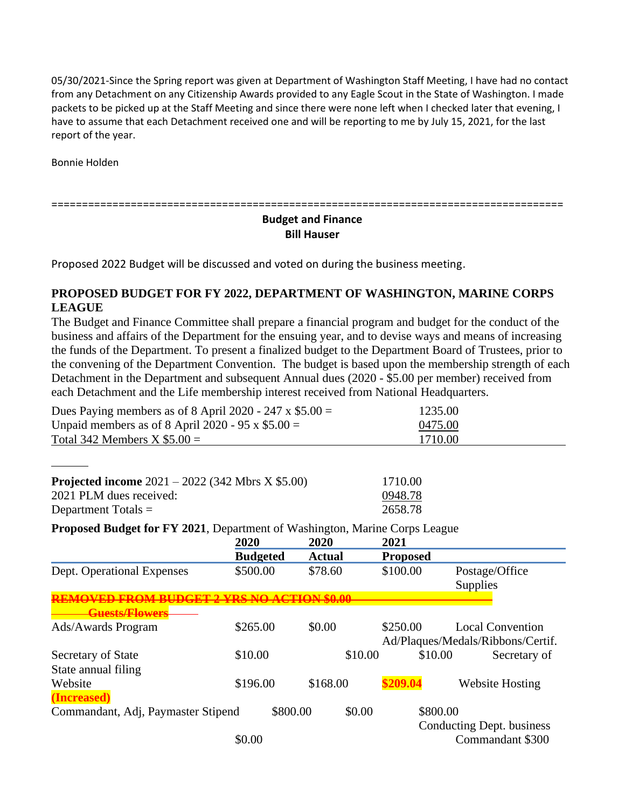05/30/2021-Since the Spring report was given at Department of Washington Staff Meeting, I have had no contact from any Detachment on any Citizenship Awards provided to any Eagle Scout in the State of Washington. I made packets to be picked up at the Staff Meeting and since there were none left when I checked later that evening, I have to assume that each Detachment received one and will be reporting to me by July 15, 2021, for the last report of the year.

Bonnie Holden

====================================================================================

## **Budget and Finance Bill Hauser**

Proposed 2022 Budget will be discussed and voted on during the business meeting.

# **PROPOSED BUDGET FOR FY 2022, DEPARTMENT OF WASHINGTON, MARINE CORPS LEAGUE**

The Budget and Finance Committee shall prepare a financial program and budget for the conduct of the business and affairs of the Department for the ensuing year, and to devise ways and means of increasing the funds of the Department. To present a finalized budget to the Department Board of Trustees, prior to the convening of the Department Convention. The budget is based upon the membership strength of each Detachment in the Department and subsequent Annual dues (2020 - \$5.00 per member) received from each Detachment and the Life membership interest received from National Headquarters.

| Dues Paying members as of 8 April 2020 - 247 x $$5.00 =$                                                                                                                                                                                                                                                                           | 1235.00 |  |  |
|------------------------------------------------------------------------------------------------------------------------------------------------------------------------------------------------------------------------------------------------------------------------------------------------------------------------------------|---------|--|--|
| Unpaid members as of 8 April 2020 - 95 x $$5.00 =$                                                                                                                                                                                                                                                                                 | 0475.00 |  |  |
| Total 342 Members $X$ \$5.00 =                                                                                                                                                                                                                                                                                                     | 1710.00 |  |  |
|                                                                                                                                                                                                                                                                                                                                    |         |  |  |
|                                                                                                                                                                                                                                                                                                                                    |         |  |  |
| <b>Projected income</b> $2021 - 2022$ (342 Mbrs X \$5.00)                                                                                                                                                                                                                                                                          | 1710.00 |  |  |
| 2021 PLM dues received:                                                                                                                                                                                                                                                                                                            | 0948.78 |  |  |
| Department Totals $=$                                                                                                                                                                                                                                                                                                              | 2658.78 |  |  |
| $\mathbf{H}$ $\mathbf{H}$ $\mathbf{H}$ $\mathbf{H}$ $\mathbf{H}$ $\mathbf{H}$ $\mathbf{H}$ $\mathbf{H}$ $\mathbf{H}$ $\mathbf{H}$ $\mathbf{H}$ $\mathbf{H}$ $\mathbf{H}$ $\mathbf{H}$ $\mathbf{H}$ $\mathbf{H}$ $\mathbf{H}$ $\mathbf{H}$ $\mathbf{H}$ $\mathbf{H}$ $\mathbf{H}$ $\mathbf{H}$ $\mathbf{H}$ $\mathbf{H}$ $\mathbf{$ |         |  |  |

**Proposed Budget for FY 2021**, Department of Washington, Marine Corps League

|                                    | 2020            | 2020          | 2021            |                                                              |
|------------------------------------|-----------------|---------------|-----------------|--------------------------------------------------------------|
|                                    | <b>Budgeted</b> | <b>Actual</b> | <b>Proposed</b> |                                                              |
| Dept. Operational Expenses         | \$500.00        | \$78.60       | \$100.00        | Postage/Office<br><b>Supplies</b>                            |
|                                    |                 |               |                 |                                                              |
| <b>Guests/Flowers</b>              |                 |               |                 |                                                              |
| Ads/Awards Program                 | \$265.00        | \$0.00        | \$250.00        | <b>Local Convention</b><br>Ad/Plaques/Medals/Ribbons/Certif. |
| Secretary of State                 | \$10.00         | \$10.00       | \$10.00         | Secretary of                                                 |
| State annual filing                |                 |               |                 |                                                              |
| Website                            | \$196.00        | \$168.00      | \$209.04        | <b>Website Hosting</b>                                       |
| (Increased)                        |                 |               |                 |                                                              |
| Commandant, Adj, Paymaster Stipend | \$800.00        | \$0.00        | \$800.00        |                                                              |
|                                    |                 |               |                 | Conducting Dept. business                                    |
|                                    | \$0.00          |               |                 | Commandant \$300                                             |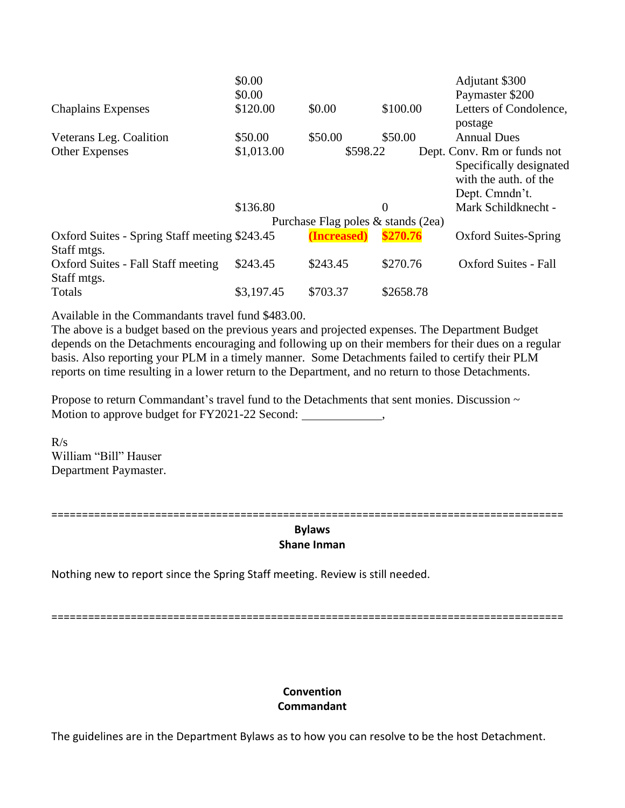|                                                              | \$0.00     |                                    |                | Adjutant \$300              |
|--------------------------------------------------------------|------------|------------------------------------|----------------|-----------------------------|
|                                                              | \$0.00     |                                    |                | Paymaster \$200             |
| <b>Chaplains Expenses</b>                                    | \$120.00   | \$0.00                             | \$100.00       | Letters of Condolence,      |
|                                                              |            |                                    |                | postage                     |
| Veterans Leg. Coalition                                      | \$50.00    | \$50.00                            | \$50.00        | <b>Annual Dues</b>          |
| <b>Other Expenses</b>                                        | \$1,013.00 | \$598.22                           |                | Dept. Conv. Rm or funds not |
|                                                              |            |                                    |                | Specifically designated     |
|                                                              |            |                                    |                | with the auth, of the       |
|                                                              |            |                                    |                | Dept. Cmndn't.              |
|                                                              | \$136.80   |                                    | $\overline{0}$ | Mark Schildknecht -         |
|                                                              |            | Purchase Flag poles & stands (2ea) |                |                             |
| Oxford Suites - Spring Staff meeting \$243.45<br>Staff mtgs. |            | (Increased)                        | \$270.76       | <b>Oxford Suites-Spring</b> |
| Oxford Suites - Fall Staff meeting                           | \$243.45   | \$243.45                           | \$270.76       | <b>Oxford Suites - Fall</b> |
| Staff mtgs.                                                  |            |                                    |                |                             |
| Totals                                                       | \$3,197.45 | \$703.37                           | \$2658.78      |                             |

Available in the Commandants travel fund \$483.00.

The above is a budget based on the previous years and projected expenses. The Department Budget depends on the Detachments encouraging and following up on their members for their dues on a regular basis. Also reporting your PLM in a timely manner. Some Detachments failed to certify their PLM reports on time resulting in a lower return to the Department, and no return to those Detachments.

Propose to return Commandant's travel fund to the Detachments that sent monies. Discussion  $\sim$ Motion to approve budget for FY2021-22 Second: ,

 $R/s$ William "Bill" Hauser Department Paymaster.

====================================================================================

#### **Bylaws Shane Inman**

Nothing new to report since the Spring Staff meeting. Review is still needed.

====================================================================================

# **Convention Commandant**

The guidelines are in the Department Bylaws as to how you can resolve to be the host Detachment.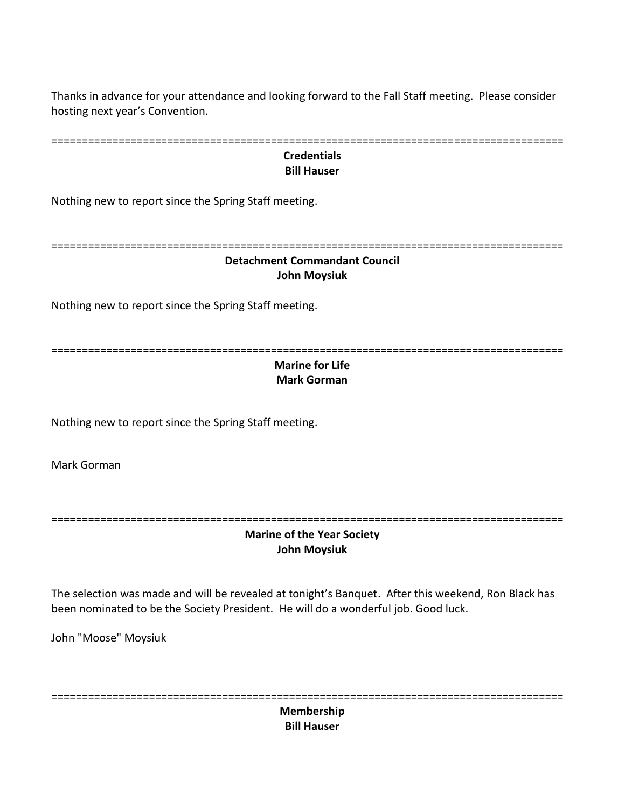Thanks in advance for your attendance and looking forward to the Fall Staff meeting. Please consider hosting next year's Convention.

| <b>Credentials</b><br><b>Bill Hauser</b>                                                                                                                                                  |
|-------------------------------------------------------------------------------------------------------------------------------------------------------------------------------------------|
| Nothing new to report since the Spring Staff meeting.                                                                                                                                     |
| <b>Detachment Commandant Council</b><br><b>John Moysiuk</b>                                                                                                                               |
| Nothing new to report since the Spring Staff meeting.                                                                                                                                     |
| <b>Marine for Life</b><br><b>Mark Gorman</b>                                                                                                                                              |
| Nothing new to report since the Spring Staff meeting.                                                                                                                                     |
| Mark Gorman                                                                                                                                                                               |
| <b>Marine of the Year Society</b><br><b>John Moysiuk</b>                                                                                                                                  |
| The selection was made and will be revealed at tonight's Banquet. After this weekend, Ron Black has<br>been nominated to be the Society President. He will do a wonderful job. Good luck. |
| John "Moose" Moysiuk                                                                                                                                                                      |

====================================================================================

**Membership Bill Hauser**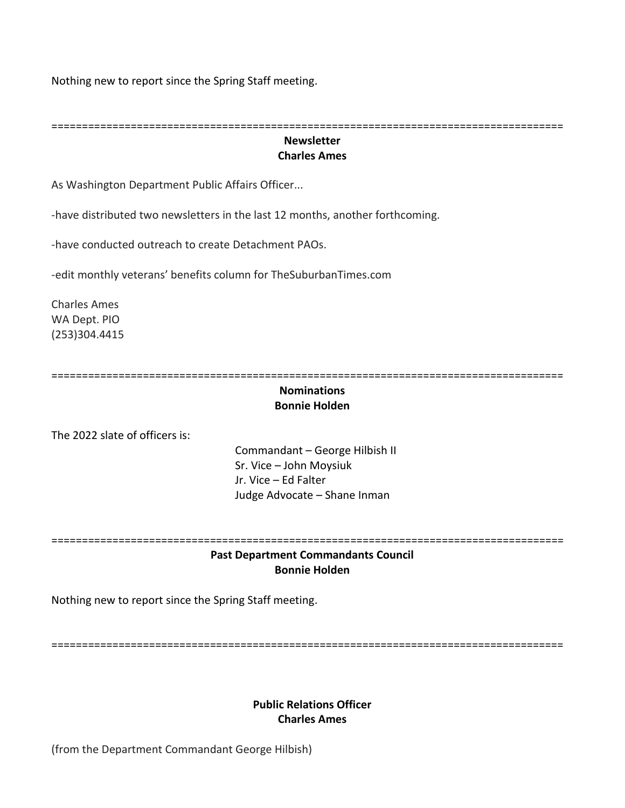Nothing new to report since the Spring Staff meeting.

====================================================================================

## **Newsletter Charles Ames**

As Washington Department Public Affairs Officer...

-have distributed two newsletters in the last 12 months, another forthcoming.

-have conducted outreach to create Detachment PAOs.

-edit monthly veterans' benefits column for TheSuburbanTimes.com

Charles Ames WA Dept. PIO (253)304.4415

====================================================================================

### **Nominations Bonnie Holden**

The 2022 slate of officers is:

Commandant – George Hilbish II Sr. Vice – John Moysiuk Jr. Vice – Ed Falter Judge Advocate – Shane Inman

==================================================================================== **Past Department Commandants Council**

# **Bonnie Holden**

Nothing new to report since the Spring Staff meeting.

====================================================================================

## **Public Relations Officer Charles Ames**

(from the Department Commandant George Hilbish)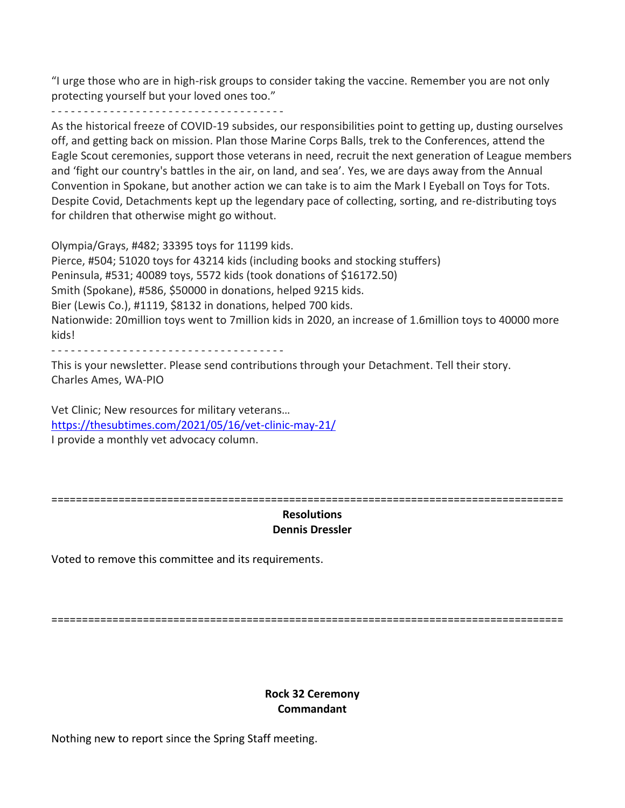"I urge those who are in high-risk groups to consider taking the vaccine. Remember you are not only protecting yourself but your loved ones too."

- - - - - - - - - - - - - - - - - - - - - - - - - - - - - - - - - - - -

As the historical freeze of COVID-19 subsides, our responsibilities point to getting up, dusting ourselves off, and getting back on mission. Plan those Marine Corps Balls, trek to the Conferences, attend the Eagle Scout ceremonies, support those veterans in need, recruit the next generation of League members and 'fight our country's battles in the air, on land, and sea'. Yes, we are days away from the Annual Convention in Spokane, but another action we can take is to aim the Mark I Eyeball on Toys for Tots. Despite Covid, Detachments kept up the legendary pace of collecting, sorting, and re-distributing toys for children that otherwise might go without.

Olympia/Grays, #482; 33395 toys for 11199 kids.

Pierce, #504; 51020 toys for 43214 kids (including books and stocking stuffers) Peninsula, #531; 40089 toys, 5572 kids (took donations of \$16172.50) Smith (Spokane), #586, \$50000 in donations, helped 9215 kids. Bier (Lewis Co.), #1119, \$8132 in donations, helped 700 kids. Nationwide: 20million toys went to 7million kids in 2020, an increase of 1.6million toys to 40000 more kids!

- - - - - - - - - - - - - - - - - - - - - - - - - - - - - - - - - - - -

This is your newsletter. Please send contributions through your Detachment. Tell their story. Charles Ames, WA-PIO

Vet Clinic; New resources for military veterans… <https://thesubtimes.com/2021/05/16/vet-clinic-may-21/> I provide a monthly vet advocacy column.

====================================================================================

## **Resolutions Dennis Dressler**

Voted to remove this committee and its requirements.

====================================================================================

## **Rock 32 Ceremony Commandant**

Nothing new to report since the Spring Staff meeting.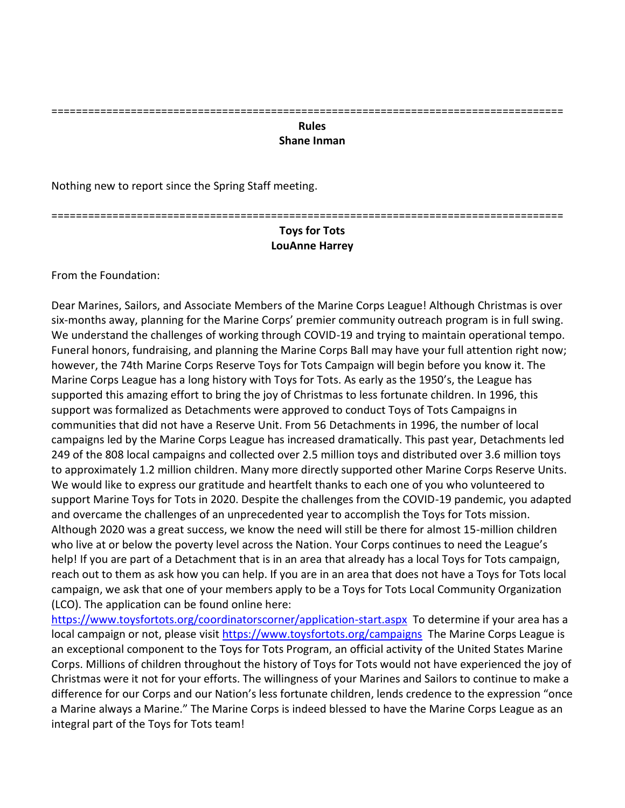# ====================================================================================

#### **Rules Shane Inman**

Nothing new to report since the Spring Staff meeting.

====================================================================================

## **Toys for Tots LouAnne Harrey**

From the Foundation:

Dear Marines, Sailors, and Associate Members of the Marine Corps League! Although Christmas is over six-months away, planning for the Marine Corps' premier community outreach program is in full swing. We understand the challenges of working through COVID-19 and trying to maintain operational tempo. Funeral honors, fundraising, and planning the Marine Corps Ball may have your full attention right now; however, the 74th Marine Corps Reserve Toys for Tots Campaign will begin before you know it. The Marine Corps League has a long history with Toys for Tots. As early as the 1950's, the League has supported this amazing effort to bring the joy of Christmas to less fortunate children. In 1996, this support was formalized as Detachments were approved to conduct Toys of Tots Campaigns in communities that did not have a Reserve Unit. From 56 Detachments in 1996, the number of local campaigns led by the Marine Corps League has increased dramatically. This past year, Detachments led 249 of the 808 local campaigns and collected over 2.5 million toys and distributed over 3.6 million toys to approximately 1.2 million children. Many more directly supported other Marine Corps Reserve Units. We would like to express our gratitude and heartfelt thanks to each one of you who volunteered to support Marine Toys for Tots in 2020. Despite the challenges from the COVID-19 pandemic, you adapted and overcame the challenges of an unprecedented year to accomplish the Toys for Tots mission. Although 2020 was a great success, we know the need will still be there for almost 15-million children who live at or below the poverty level across the Nation. Your Corps continues to need the League's help! If you are part of a Detachment that is in an area that already has a local Toys for Tots campaign, reach out to them as ask how you can help. If you are in an area that does not have a Toys for Tots local campaign, we ask that one of your members apply to be a Toys for Tots Local Community Organization (LCO). The application can be found online here:

<https://www.toysfortots.org/coordinatorscorner/application-start.aspx> To determine if your area has a local campaign or not, please visit<https://www.toysfortots.org/campaigns> The Marine Corps League is an exceptional component to the Toys for Tots Program, an official activity of the United States Marine Corps. Millions of children throughout the history of Toys for Tots would not have experienced the joy of Christmas were it not for your efforts. The willingness of your Marines and Sailors to continue to make a difference for our Corps and our Nation's less fortunate children, lends credence to the expression "once a Marine always a Marine." The Marine Corps is indeed blessed to have the Marine Corps League as an integral part of the Toys for Tots team!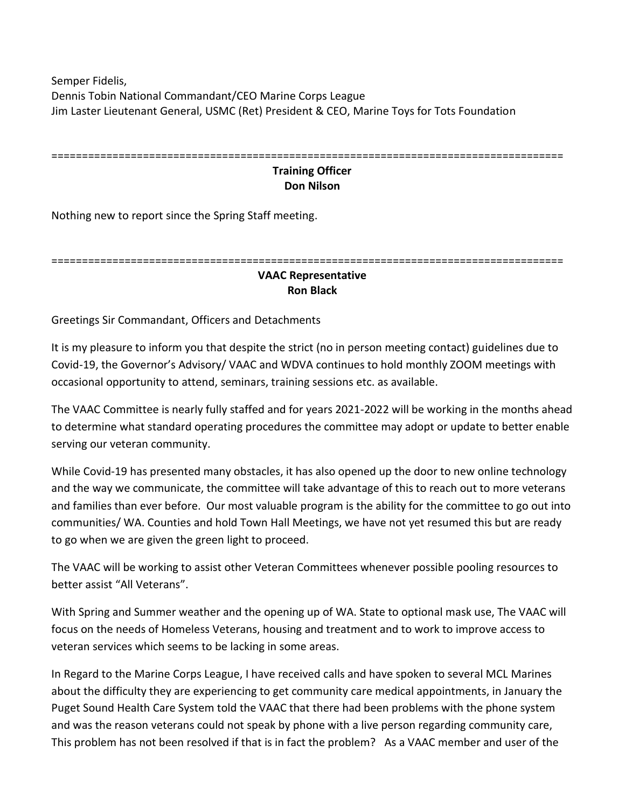Semper Fidelis, Dennis Tobin National Commandant/CEO Marine Corps League Jim Laster Lieutenant General, USMC (Ret) President & CEO, Marine Toys for Tots Foundation

| ___                     |
|-------------------------|
| <b>Training Officer</b> |

# **Don Nilson**

Nothing new to report since the Spring Staff meeting.

# ====================================================================================

## **VAAC Representative Ron Black**

Greetings Sir Commandant, Officers and Detachments

It is my pleasure to inform you that despite the strict (no in person meeting contact) guidelines due to Covid-19, the Governor's Advisory/ VAAC and WDVA continues to hold monthly ZOOM meetings with occasional opportunity to attend, seminars, training sessions etc. as available.

The VAAC Committee is nearly fully staffed and for years 2021-2022 will be working in the months ahead to determine what standard operating procedures the committee may adopt or update to better enable serving our veteran community.

While Covid-19 has presented many obstacles, it has also opened up the door to new online technology and the way we communicate, the committee will take advantage of this to reach out to more veterans and families than ever before. Our most valuable program is the ability for the committee to go out into communities/ WA. Counties and hold Town Hall Meetings, we have not yet resumed this but are ready to go when we are given the green light to proceed.

The VAAC will be working to assist other Veteran Committees whenever possible pooling resources to better assist "All Veterans".

With Spring and Summer weather and the opening up of WA. State to optional mask use, The VAAC will focus on the needs of Homeless Veterans, housing and treatment and to work to improve access to veteran services which seems to be lacking in some areas.

In Regard to the Marine Corps League, I have received calls and have spoken to several MCL Marines about the difficulty they are experiencing to get community care medical appointments, in January the Puget Sound Health Care System told the VAAC that there had been problems with the phone system and was the reason veterans could not speak by phone with a live person regarding community care, This problem has not been resolved if that is in fact the problem? As a VAAC member and user of the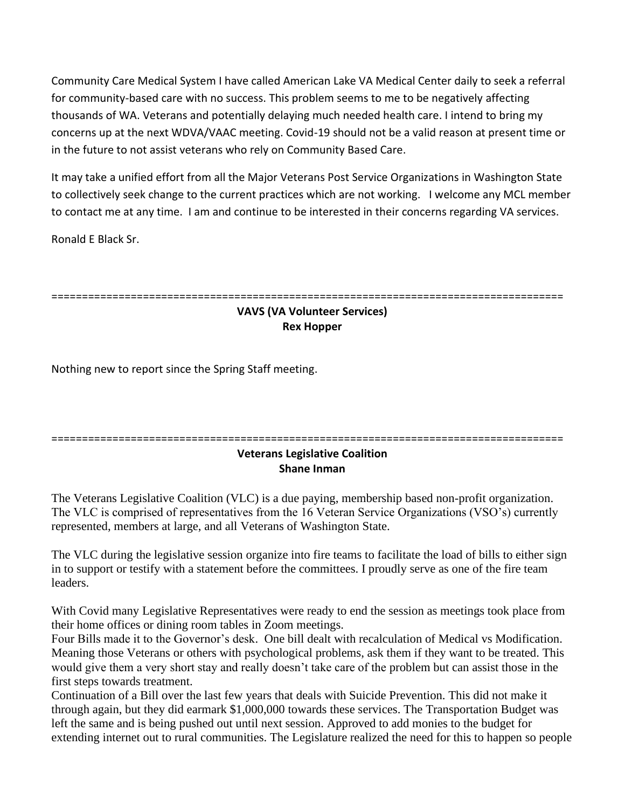Community Care Medical System I have called American Lake VA Medical Center daily to seek a referral for community-based care with no success. This problem seems to me to be negatively affecting thousands of WA. Veterans and potentially delaying much needed health care. I intend to bring my concerns up at the next WDVA/VAAC meeting. Covid-19 should not be a valid reason at present time or in the future to not assist veterans who rely on Community Based Care.

It may take a unified effort from all the Major Veterans Post Service Organizations in Washington State to collectively seek change to the current practices which are not working. I welcome any MCL member to contact me at any time. I am and continue to be interested in their concerns regarding VA services.

Ronald E Black Sr.

====================================================================================

# **VAVS (VA Volunteer Services) Rex Hopper**

Nothing new to report since the Spring Staff meeting.

## ==================================================================================== **Veterans Legislative Coalition Shane Inman**

The Veterans Legislative Coalition (VLC) is a due paying, membership based non-profit organization. The VLC is comprised of representatives from the 16 Veteran Service Organizations (VSO's) currently represented, members at large, and all Veterans of Washington State.

The VLC during the legislative session organize into fire teams to facilitate the load of bills to either sign in to support or testify with a statement before the committees. I proudly serve as one of the fire team leaders.

With Covid many Legislative Representatives were ready to end the session as meetings took place from their home offices or dining room tables in Zoom meetings.

Four Bills made it to the Governor's desk. One bill dealt with recalculation of Medical vs Modification. Meaning those Veterans or others with psychological problems, ask them if they want to be treated. This would give them a very short stay and really doesn't take care of the problem but can assist those in the first steps towards treatment.

Continuation of a Bill over the last few years that deals with Suicide Prevention. This did not make it through again, but they did earmark \$1,000,000 towards these services. The Transportation Budget was left the same and is being pushed out until next session. Approved to add monies to the budget for extending internet out to rural communities. The Legislature realized the need for this to happen so people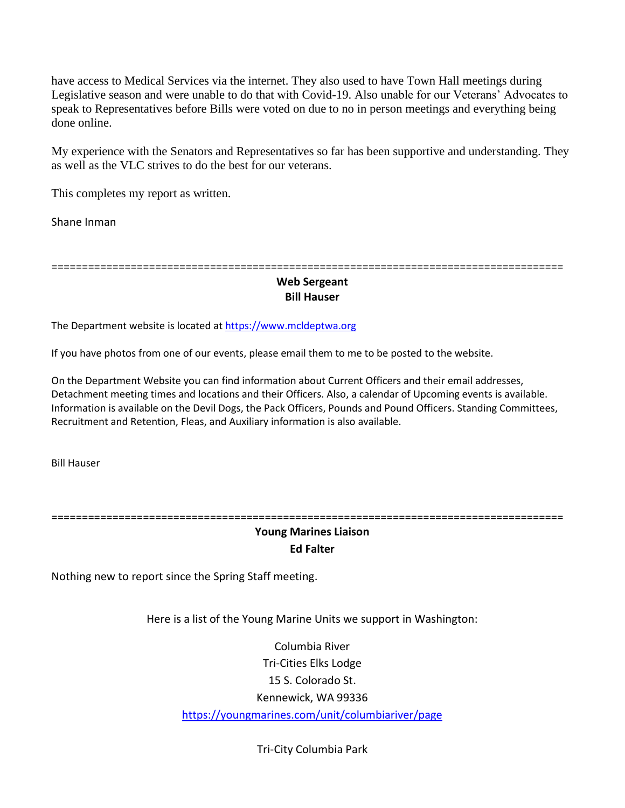have access to Medical Services via the internet. They also used to have Town Hall meetings during Legislative season and were unable to do that with Covid-19. Also unable for our Veterans' Advocates to speak to Representatives before Bills were voted on due to no in person meetings and everything being done online.

My experience with the Senators and Representatives so far has been supportive and understanding. They as well as the VLC strives to do the best for our veterans.

This completes my report as written.

Shane Inman

====================================================================================

## **Web Sergeant Bill Hauser**

The Department website is located a[t https://www.mcldeptwa.org](https://www.mcldeptwa.org/)

If you have photos from one of our events, please email them to me to be posted to the website.

On the Department Website you can find information about Current Officers and their email addresses, Detachment meeting times and locations and their Officers. Also, a calendar of Upcoming events is available. Information is available on the Devil Dogs, the Pack Officers, Pounds and Pound Officers. Standing Committees, Recruitment and Retention, Fleas, and Auxiliary information is also available.

Bill Hauser

====================================================================================

# **Young Marines Liaison Ed Falter**

Nothing new to report since the Spring Staff meeting.

Here is a list of the Young Marine Units we support in Washington:

Columbia River Tri-Cities Elks Lodge 15 S. Colorado St. Kennewick, WA 99336 <https://youngmarines.com/unit/columbiariver/page>

Tri-City Columbia Park